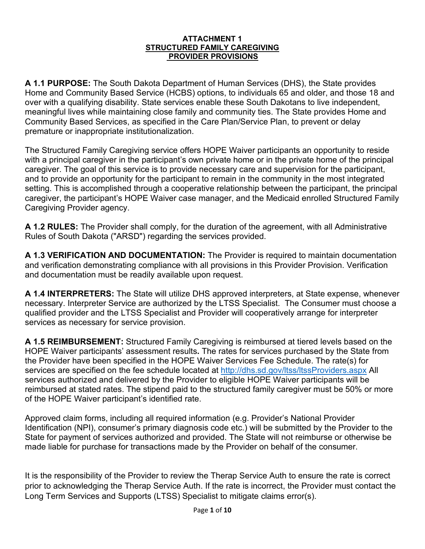#### **ATTACHMENT 1 STRUCTURED FAMILY CAREGIVING PROVIDER PROVISIONS**

**A 1.1 PURPOSE:** The South Dakota Department of Human Services (DHS), the State provides Home and Community Based Service (HCBS) options, to individuals 65 and older, and those 18 and over with a qualifying disability. State services enable these South Dakotans to live independent, meaningful lives while maintaining close family and community ties. The State provides Home and Community Based Services, as specified in the Care Plan/Service Plan, to prevent or delay premature or inappropriate institutionalization.

The Structured Family Caregiving service offers HOPE Waiver participants an opportunity to reside with a principal caregiver in the participant's own private home or in the private home of the principal caregiver. The goal of this service is to provide necessary care and supervision for the participant, and to provide an opportunity for the participant to remain in the community in the most integrated setting. This is accomplished through a cooperative relationship between the participant, the principal caregiver, the participant's HOPE Waiver case manager, and the Medicaid enrolled Structured Family Caregiving Provider agency.

**A 1.2 RULES:** The Provider shall comply, for the duration of the agreement, with all Administrative Rules of South Dakota ("ARSD") regarding the services provided.

**A 1.3 VERIFICATION AND DOCUMENTATION:** The Provider is required to maintain documentation and verification demonstrating compliance with all provisions in this Provider Provision. Verification and documentation must be readily available upon request.

**A 1.4 INTERPRETERS:** The State will utilize DHS approved interpreters, at State expense, whenever necessary. Interpreter Service are authorized by the LTSS Specialist. The Consumer must choose a qualified provider and the LTSS Specialist and Provider will cooperatively arrange for interpreter services as necessary for service provision.

**A 1.5 REIMBURSEMENT:** Structured Family Caregiving is reimbursed at tiered levels based on the HOPE Waiver participants' assessment results**.** The rates for services purchased by the State from the Provider have been specified in the HOPE Waiver Services Fee Schedule. The rate(s) for services are specified on the fee schedule located at [http://dhs.sd.gov/ltss/ltssProviders.aspx](http://dhs.sd.gov/ltss/ltssproviders.aspx) All services authorized and delivered by the Provider to eligible HOPE Waiver participants will be reimbursed at stated rates. The stipend paid to the structured family caregiver must be 50% or more of the HOPE Waiver participant's identified rate.

Approved claim forms, including all required information (e.g. Provider's National Provider Identification (NPI), consumer's primary diagnosis code etc.) will be submitted by the Provider to the State for payment of services authorized and provided. The State will not reimburse or otherwise be made liable for purchase for transactions made by the Provider on behalf of the consumer.

It is the responsibility of the Provider to review the Therap Service Auth to ensure the rate is correct prior to acknowledging the Therap Service Auth. If the rate is incorrect, the Provider must contact the Long Term Services and Supports (LTSS) Specialist to mitigate claims error(s).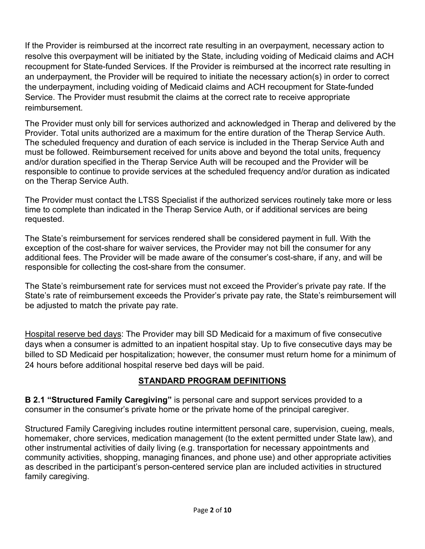If the Provider is reimbursed at the incorrect rate resulting in an overpayment, necessary action to resolve this overpayment will be initiated by the State, including voiding of Medicaid claims and ACH recoupment for State-funded Services. If the Provider is reimbursed at the incorrect rate resulting in an underpayment, the Provider will be required to initiate the necessary action(s) in order to correct the underpayment, including voiding of Medicaid claims and ACH recoupment for State-funded Service. The Provider must resubmit the claims at the correct rate to receive appropriate reimbursement.

The Provider must only bill for services authorized and acknowledged in Therap and delivered by the Provider. Total units authorized are a maximum for the entire duration of the Therap Service Auth. The scheduled frequency and duration of each service is included in the Therap Service Auth and must be followed. Reimbursement received for units above and beyond the total units, frequency and/or duration specified in the Therap Service Auth will be recouped and the Provider will be responsible to continue to provide services at the scheduled frequency and/or duration as indicated on the Therap Service Auth.

The Provider must contact the LTSS Specialist if the authorized services routinely take more or less time to complete than indicated in the Therap Service Auth, or if additional services are being requested.

The State's reimbursement for services rendered shall be considered payment in full. With the exception of the cost-share for waiver services, the Provider may not bill the consumer for any additional fees. The Provider will be made aware of the consumer's cost-share, if any, and will be responsible for collecting the cost-share from the consumer.

The State's reimbursement rate for services must not exceed the Provider's private pay rate. If the State's rate of reimbursement exceeds the Provider's private pay rate, the State's reimbursement will be adjusted to match the private pay rate.

Hospital reserve bed days: The Provider may bill SD Medicaid for a maximum of five consecutive days when a consumer is admitted to an inpatient hospital stay. Up to five consecutive days may be billed to SD Medicaid per hospitalization; however, the consumer must return home for a minimum of 24 hours before additional hospital reserve bed days will be paid.

## **STANDARD PROGRAM DEFINITIONS**

**B 2.1 "Structured Family Caregiving"** is personal care and support services provided to a consumer in the consumer's private home or the private home of the principal caregiver.

Structured Family Caregiving includes routine intermittent personal care, supervision, cueing, meals, homemaker, chore services, medication management (to the extent permitted under State law), and other instrumental activities of daily living (e.g. transportation for necessary appointments and community activities, shopping, managing finances, and phone use) and other appropriate activities as described in the participant's person-centered service plan are included activities in structured family caregiving.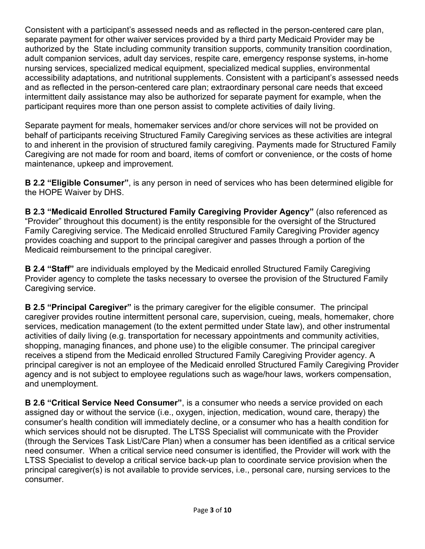Consistent with a participant's assessed needs and as reflected in the person-centered care plan, separate payment for other waiver services provided by a third party Medicaid Provider may be authorized by the State including community transition supports, community transition coordination, adult companion services, adult day services, respite care, emergency response systems, in-home nursing services, specialized medical equipment, specialized medical supplies, environmental accessibility adaptations, and nutritional supplements. Consistent with a participant's assessed needs and as reflected in the person-centered care plan; extraordinary personal care needs that exceed intermittent daily assistance may also be authorized for separate payment for example, when the participant requires more than one person assist to complete activities of daily living.

Separate payment for meals, homemaker services and/or chore services will not be provided on behalf of participants receiving Structured Family Caregiving services as these activities are integral to and inherent in the provision of structured family caregiving. Payments made for Structured Family Caregiving are not made for room and board, items of comfort or convenience, or the costs of home maintenance, upkeep and improvement.

**B 2.2 "Eligible Consumer"**, is any person in need of services who has been determined eligible for the HOPE Waiver by DHS.

**B 2.3 "Medicaid Enrolled Structured Family Caregiving Provider Agency"** (also referenced as "Provider" throughout this document) is the entity responsible for the oversight of the Structured Family Caregiving service. The Medicaid enrolled Structured Family Caregiving Provider agency provides coaching and support to the principal caregiver and passes through a portion of the Medicaid reimbursement to the principal caregiver.

**B 2.4 "Staff"** are individuals employed by the Medicaid enrolled Structured Family Caregiving Provider agency to complete the tasks necessary to oversee the provision of the Structured Family Caregiving service.

**B 2.5 "Principal Caregiver"** is the primary caregiver for the eligible consumer. The principal caregiver provides routine intermittent personal care, supervision, cueing, meals, homemaker, chore services, medication management (to the extent permitted under State law), and other instrumental activities of daily living (e.g. transportation for necessary appointments and community activities, shopping, managing finances, and phone use) to the eligible consumer. The principal caregiver receives a stipend from the Medicaid enrolled Structured Family Caregiving Provider agency. A principal caregiver is not an employee of the Medicaid enrolled Structured Family Caregiving Provider agency and is not subject to employee regulations such as wage/hour laws, workers compensation, and unemployment.

**B 2.6 "Critical Service Need Consumer"**, is a consumer who needs a service provided on each assigned day or without the service (i.e., oxygen, injection, medication, wound care, therapy) the consumer's health condition will immediately decline, or a consumer who has a health condition for which services should not be disrupted. The LTSS Specialist will communicate with the Provider (through the Services Task List/Care Plan) when a consumer has been identified as a critical service need consumer. When a critical service need consumer is identified, the Provider will work with the LTSS Specialist to develop a critical service back-up plan to coordinate service provision when the principal caregiver(s) is not available to provide services, i.e., personal care, nursing services to the consumer.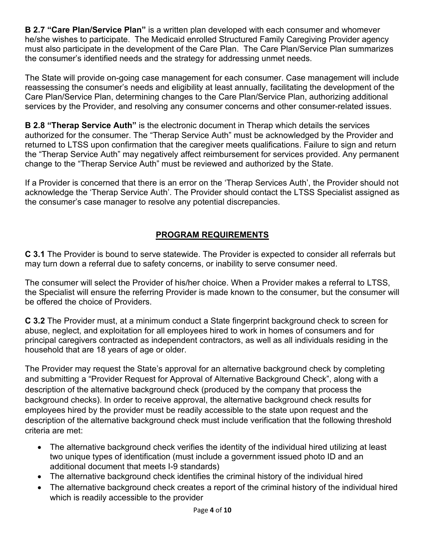**B 2.7 "Care Plan/Service Plan"** is a written plan developed with each consumer and whomever he/she wishes to participate. The Medicaid enrolled Structured Family Caregiving Provider agency must also participate in the development of the Care Plan. The Care Plan/Service Plan summarizes the consumer's identified needs and the strategy for addressing unmet needs.

The State will provide on-going case management for each consumer. Case management will include reassessing the consumer's needs and eligibility at least annually, facilitating the development of the Care Plan/Service Plan, determining changes to the Care Plan/Service Plan, authorizing additional services by the Provider, and resolving any consumer concerns and other consumer-related issues.

**B 2.8 "Therap Service Auth"** is the electronic document in Therap which details the services authorized for the consumer. The "Therap Service Auth" must be acknowledged by the Provider and returned to LTSS upon confirmation that the caregiver meets qualifications. Failure to sign and return the "Therap Service Auth" may negatively affect reimbursement for services provided. Any permanent change to the "Therap Service Auth" must be reviewed and authorized by the State.

If a Provider is concerned that there is an error on the 'Therap Services Auth', the Provider should not acknowledge the 'Therap Service Auth'. The Provider should contact the LTSS Specialist assigned as the consumer's case manager to resolve any potential discrepancies.

# **PROGRAM REQUIREMENTS**

**C 3.1** The Provider is bound to serve statewide. The Provider is expected to consider all referrals but may turn down a referral due to safety concerns, or inability to serve consumer need.

The consumer will select the Provider of his/her choice. When a Provider makes a referral to LTSS, the Specialist will ensure the referring Provider is made known to the consumer, but the consumer will be offered the choice of Providers.

**C 3.2** The Provider must, at a minimum conduct a State fingerprint background check to screen for abuse, neglect, and exploitation for all employees hired to work in homes of consumers and for principal caregivers contracted as independent contractors, as well as all individuals residing in the household that are 18 years of age or older.

The Provider may request the State's approval for an alternative background check by completing and submitting a "Provider Request for Approval of Alternative Background Check", along with a description of the alternative background check (produced by the company that process the background checks). In order to receive approval, the alternative background check results for employees hired by the provider must be readily accessible to the state upon request and the description of the alternative background check must include verification that the following threshold criteria are met:

- The alternative background check verifies the identity of the individual hired utilizing at least two unique types of identification (must include a government issued photo ID and an additional document that meets I-9 standards)
- The alternative background check identifies the criminal history of the individual hired
- The alternative background check creates a report of the criminal history of the individual hired which is readily accessible to the provider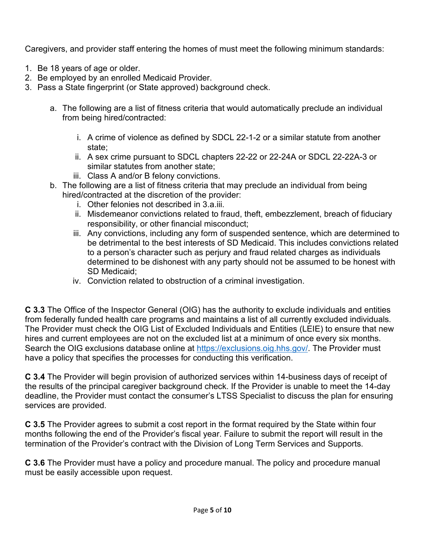Caregivers, and provider staff entering the homes of must meet the following minimum standards:

- 1. Be 18 years of age or older.
- 2. Be employed by an enrolled Medicaid Provider.
- 3. Pass a State fingerprint (or State approved) background check.
	- a. The following are a list of fitness criteria that would automatically preclude an individual from being hired/contracted:
		- i. A crime of violence as defined by SDCL 22-1-2 or a similar statute from another state;
		- ii. A sex crime pursuant to SDCL chapters 22-22 or 22-24A or SDCL 22-22A-3 or similar statutes from another state;
		- iii. Class A and/or B felony convictions.
	- b. The following are a list of fitness criteria that may preclude an individual from being hired/contracted at the discretion of the provider:
		- i. Other felonies not described in 3.a.iii.
		- ii. Misdemeanor convictions related to fraud, theft, embezzlement, breach of fiduciary responsibility, or other financial misconduct;
		- iii. Any convictions, including any form of suspended sentence, which are determined to be detrimental to the best interests of SD Medicaid. This includes convictions related to a person's character such as perjury and fraud related charges as individuals determined to be dishonest with any party should not be assumed to be honest with SD Medicaid;
		- iv. Conviction related to obstruction of a criminal investigation.

**C 3.3** The Office of the Inspector General (OIG) has the authority to exclude individuals and entities from federally funded health care programs and maintains a list of all currently excluded individuals. The Provider must check the OIG List of Excluded Individuals and Entities (LEIE) to ensure that new hires and current employees are not on the excluded list at a minimum of once every six months. Search the OIG exclusions database online at [https://exclusions.oig.hhs.gov/.](https://exclusions.oig.hhs.gov/) The Provider must have a policy that specifies the processes for conducting this verification.

**C 3.4** The Provider will begin provision of authorized services within 14-business days of receipt of the results of the principal caregiver background check. If the Provider is unable to meet the 14-day deadline, the Provider must contact the consumer's LTSS Specialist to discuss the plan for ensuring services are provided.

**C 3.5** The Provider agrees to submit a cost report in the format required by the State within four months following the end of the Provider's fiscal year. Failure to submit the report will result in the termination of the Provider's contract with the Division of Long Term Services and Supports.

**C 3.6** The Provider must have a policy and procedure manual. The policy and procedure manual must be easily accessible upon request.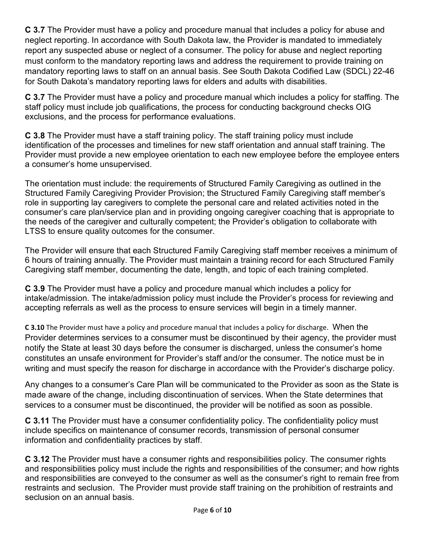**C 3.7** The Provider must have a policy and procedure manual that includes a policy for abuse and neglect reporting. In accordance with South Dakota law, the Provider is mandated to immediately report any suspected abuse or neglect of a consumer. The policy for abuse and neglect reporting must conform to the mandatory reporting laws and address the requirement to provide training on mandatory reporting laws to staff on an annual basis. See South Dakota Codified Law (SDCL) 22-46 for South Dakota's mandatory reporting laws for elders and adults with disabilities.

**C 3.7** The Provider must have a policy and procedure manual which includes a policy for staffing. The staff policy must include job qualifications, the process for conducting background checks OIG exclusions, and the process for performance evaluations.

**C 3.8** The Provider must have a staff training policy. The staff training policy must include identification of the processes and timelines for new staff orientation and annual staff training. The Provider must provide a new employee orientation to each new employee before the employee enters a consumer's home unsupervised.

The orientation must include: the requirements of Structured Family Caregiving as outlined in the Structured Family Caregiving Provider Provision; the Structured Family Caregiving staff member's role in supporting lay caregivers to complete the personal care and related activities noted in the consumer's care plan/service plan and in providing ongoing caregiver coaching that is appropriate to the needs of the caregiver and culturally competent; the Provider's obligation to collaborate with LTSS to ensure quality outcomes for the consumer.

The Provider will ensure that each Structured Family Caregiving staff member receives a minimum of 6 hours of training annually. The Provider must maintain a training record for each Structured Family Caregiving staff member, documenting the date, length, and topic of each training completed.

**C 3.9** The Provider must have a policy and procedure manual which includes a policy for intake/admission. The intake/admission policy must include the Provider's process for reviewing and accepting referrals as well as the process to ensure services will begin in a timely manner.

**C 3.10** The Provider must have a policy and procedure manual that includes a policy for discharge. When the Provider determines services to a consumer must be discontinued by their agency, the provider must notify the State at least 30 days before the consumer is discharged, unless the consumer's home constitutes an unsafe environment for Provider's staff and/or the consumer. The notice must be in writing and must specify the reason for discharge in accordance with the Provider's discharge policy.

Any changes to a consumer's Care Plan will be communicated to the Provider as soon as the State is made aware of the change, including discontinuation of services. When the State determines that services to a consumer must be discontinued, the provider will be notified as soon as possible.

**C 3.11** The Provider must have a consumer confidentiality policy. The confidentiality policy must include specifics on maintenance of consumer records, transmission of personal consumer information and confidentiality practices by staff.

**C 3.12** The Provider must have a consumer rights and responsibilities policy. The consumer rights and responsibilities policy must include the rights and responsibilities of the consumer; and how rights and responsibilities are conveyed to the consumer as well as the consumer's right to remain free from restraints and seclusion. The Provider must provide staff training on the prohibition of restraints and seclusion on an annual basis.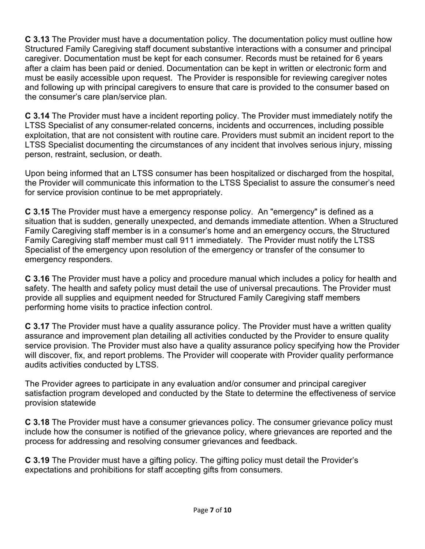**C 3.13** The Provider must have a documentation policy. The documentation policy must outline how Structured Family Caregiving staff document substantive interactions with a consumer and principal caregiver. Documentation must be kept for each consumer. Records must be retained for 6 years after a claim has been paid or denied. Documentation can be kept in written or electronic form and must be easily accessible upon request. The Provider is responsible for reviewing caregiver notes and following up with principal caregivers to ensure that care is provided to the consumer based on the consumer's care plan/service plan.

**C 3.14** The Provider must have a incident reporting policy. The Provider must immediately notify the LTSS Specialist of any consumer-related concerns, incidents and occurrences, including possible exploitation, that are not consistent with routine care. Providers must submit an incident report to the LTSS Specialist documenting the circumstances of any incident that involves serious injury, missing person, restraint, seclusion, or death.

Upon being informed that an LTSS consumer has been hospitalized or discharged from the hospital, the Provider will communicate this information to the LTSS Specialist to assure the consumer's need for service provision continue to be met appropriately.

**C 3.15** The Provider must have a emergency response policy. An "emergency" is defined as a situation that is sudden, generally unexpected, and demands immediate attention. When a Structured Family Caregiving staff member is in a consumer's home and an emergency occurs, the Structured Family Caregiving staff member must call 911 immediately. The Provider must notify the LTSS Specialist of the emergency upon resolution of the emergency or transfer of the consumer to emergency responders.

**C 3.16** The Provider must have a policy and procedure manual which includes a policy for health and safety. The health and safety policy must detail the use of universal precautions. The Provider must provide all supplies and equipment needed for Structured Family Caregiving staff members performing home visits to practice infection control.

**C 3.17** The Provider must have a quality assurance policy. The Provider must have a written quality assurance and improvement plan detailing all activities conducted by the Provider to ensure quality service provision. The Provider must also have a quality assurance policy specifying how the Provider will discover, fix, and report problems. The Provider will cooperate with Provider quality performance audits activities conducted by LTSS.

The Provider agrees to participate in any evaluation and/or consumer and principal caregiver satisfaction program developed and conducted by the State to determine the effectiveness of service provision statewide

**C 3.18** The Provider must have a consumer grievances policy. The consumer grievance policy must include how the consumer is notified of the grievance policy, where grievances are reported and the process for addressing and resolving consumer grievances and feedback.

**C 3.19** The Provider must have a gifting policy. The gifting policy must detail the Provider's expectations and prohibitions for staff accepting gifts from consumers.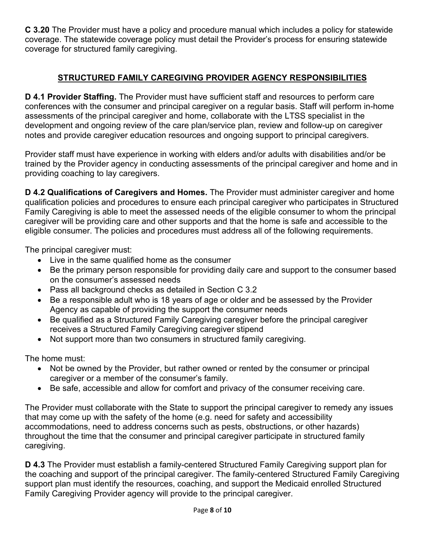**C 3.20** The Provider must have a policy and procedure manual which includes a policy for statewide coverage. The statewide coverage policy must detail the Provider's process for ensuring statewide coverage for structured family caregiving.

## **STRUCTURED FAMILY CAREGIVING PROVIDER AGENCY RESPONSIBILITIES**

**D 4.1 Provider Staffing.** The Provider must have sufficient staff and resources to perform care conferences with the consumer and principal caregiver on a regular basis. Staff will perform in-home assessments of the principal caregiver and home, collaborate with the LTSS specialist in the development and ongoing review of the care plan/service plan, review and follow-up on caregiver notes and provide caregiver education resources and ongoing support to principal caregivers.

Provider staff must have experience in working with elders and/or adults with disabilities and/or be trained by the Provider agency in conducting assessments of the principal caregiver and home and in providing coaching to lay caregivers.

**D 4.2 Qualifications of Caregivers and Homes.** The Provider must administer caregiver and home qualification policies and procedures to ensure each principal caregiver who participates in Structured Family Caregiving is able to meet the assessed needs of the eligible consumer to whom the principal caregiver will be providing care and other supports and that the home is safe and accessible to the eligible consumer. The policies and procedures must address all of the following requirements.

The principal caregiver must:

- Live in the same qualified home as the consumer
- Be the primary person responsible for providing daily care and support to the consumer based on the consumer's assessed needs
- Pass all background checks as detailed in Section C 3.2
- Be a responsible adult who is 18 years of age or older and be assessed by the Provider Agency as capable of providing the support the consumer needs
- Be qualified as a Structured Family Caregiving caregiver before the principal caregiver receives a Structured Family Caregiving caregiver stipend
- Not support more than two consumers in structured family caregiving.

The home must:

- Not be owned by the Provider, but rather owned or rented by the consumer or principal caregiver or a member of the consumer's family.
- Be safe, accessible and allow for comfort and privacy of the consumer receiving care.

The Provider must collaborate with the State to support the principal caregiver to remedy any issues that may come up with the safety of the home (e.g. need for safety and accessibility accommodations, need to address concerns such as pests, obstructions, or other hazards) throughout the time that the consumer and principal caregiver participate in structured family caregiving.

**D 4.3** The Provider must establish a family-centered Structured Family Caregiving support plan for the coaching and support of the principal caregiver. The family-centered Structured Family Caregiving support plan must identify the resources, coaching, and support the Medicaid enrolled Structured Family Caregiving Provider agency will provide to the principal caregiver.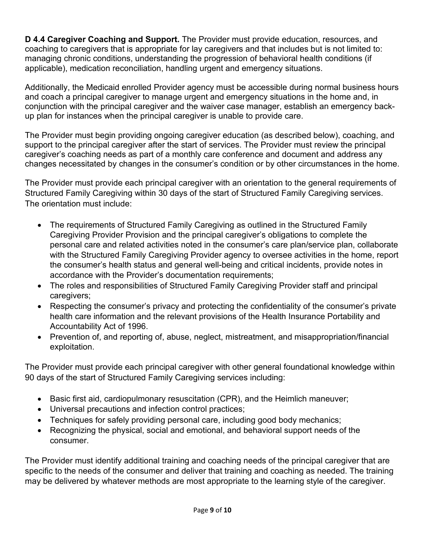**D 4.4 Caregiver Coaching and Support.** The Provider must provide education, resources, and coaching to caregivers that is appropriate for lay caregivers and that includes but is not limited to: managing chronic conditions, understanding the progression of behavioral health conditions (if applicable), medication reconciliation, handling urgent and emergency situations.

Additionally, the Medicaid enrolled Provider agency must be accessible during normal business hours and coach a principal caregiver to manage urgent and emergency situations in the home and, in conjunction with the principal caregiver and the waiver case manager, establish an emergency backup plan for instances when the principal caregiver is unable to provide care.

The Provider must begin providing ongoing caregiver education (as described below), coaching, and support to the principal caregiver after the start of services. The Provider must review the principal caregiver's coaching needs as part of a monthly care conference and document and address any changes necessitated by changes in the consumer's condition or by other circumstances in the home.

The Provider must provide each principal caregiver with an orientation to the general requirements of Structured Family Caregiving within 30 days of the start of Structured Family Caregiving services. The orientation must include:

- The requirements of Structured Family Caregiving as outlined in the Structured Family Caregiving Provider Provision and the principal caregiver's obligations to complete the personal care and related activities noted in the consumer's care plan/service plan, collaborate with the Structured Family Caregiving Provider agency to oversee activities in the home, report the consumer's health status and general well-being and critical incidents, provide notes in accordance with the Provider's documentation requirements;
- The roles and responsibilities of Structured Family Caregiving Provider staff and principal caregivers;
- Respecting the consumer's privacy and protecting the confidentiality of the consumer's private health care information and the relevant provisions of the Health Insurance Portability and Accountability Act of 1996.
- Prevention of, and reporting of, abuse, neglect, mistreatment, and misappropriation/financial exploitation.

The Provider must provide each principal caregiver with other general foundational knowledge within 90 days of the start of Structured Family Caregiving services including:

- Basic first aid, cardiopulmonary resuscitation (CPR), and the Heimlich maneuver;
- Universal precautions and infection control practices;
- Techniques for safely providing personal care, including good body mechanics;
- Recognizing the physical, social and emotional, and behavioral support needs of the consumer.

The Provider must identify additional training and coaching needs of the principal caregiver that are specific to the needs of the consumer and deliver that training and coaching as needed. The training may be delivered by whatever methods are most appropriate to the learning style of the caregiver.